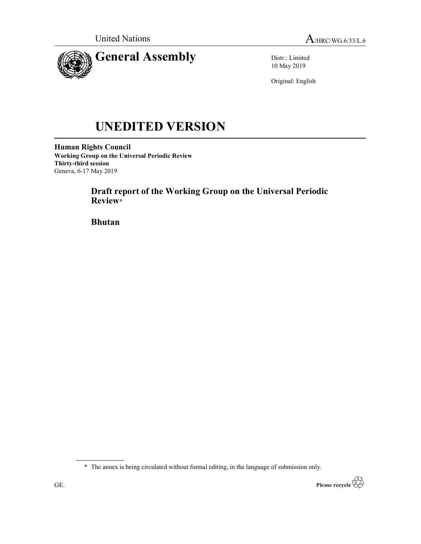

Distr.: Limited 10 May 2019

Original: English

# UNEDITED VERSION

Human Rights Council Working Group on the Universal Periodic Review Thirty-third session Geneva, 6-17 May 2019

> Draft report of the Working Group on the Universal Periodic Review\*

Bhutan

<sup>\*</sup> The annex is being circulated without formal editing, in the language of submission only.

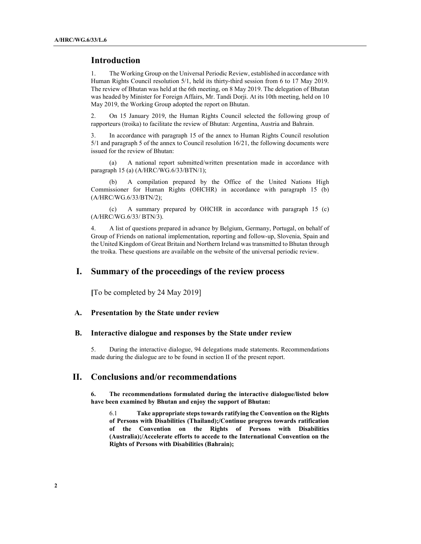## Introduction

1. The Working Group on the Universal Periodic Review, established in accordance with Human Rights Council resolution 5/1, held its thirty-third session from 6 to 17 May 2019. The review of Bhutan was held at the 6th meeting, on 8 May 2019. The delegation of Bhutan was headed by Minister for Foreign Affairs, Mr. Tandi Dorji. At its 10th meeting, held on 10 May 2019, the Working Group adopted the report on Bhutan.

2. On 15 January 2019, the Human Rights Council selected the following group of rapporteurs (troika) to facilitate the review of Bhutan: Argentina, Austria and Bahrain.

3. In accordance with paragraph 15 of the annex to Human Rights Council resolution 5/1 and paragraph 5 of the annex to Council resolution 16/21, the following documents were issued for the review of Bhutan:

 (a) A national report submitted/written presentation made in accordance with paragraph 15 (a) (A/HRC/WG.6/33/BTN/1);

 (b) A compilation prepared by the Office of the United Nations High Commissioner for Human Rights (OHCHR) in accordance with paragraph 15 (b) (A/HRC/WG.6/33/BTN/2);

 (c) A summary prepared by OHCHR in accordance with paragraph 15 (c) (A/HRC/WG.6/33/ BTN/3).

4. A list of questions prepared in advance by Belgium, Germany, Portugal, on behalf of Group of Friends on national implementation, reporting and follow-up, Slovenia, Spain and the United Kingdom of Great Britain and Northern Ireland was transmitted to Bhutan through the troika. These questions are available on the website of the universal periodic review.

# I. Summary of the proceedings of the review process

[To be completed by 24 May 2019]

#### A. Presentation by the State under review

#### B. Interactive dialogue and responses by the State under review

5. During the interactive dialogue, 94 delegations made statements. Recommendations made during the dialogue are to be found in section II of the present report.

## II. Conclusions and/or recommendations

6. The recommendations formulated during the interactive dialogue/listed below have been examined by Bhutan and enjoy the support of Bhutan:

6.1 Take appropriate steps towards ratifying the Convention on the Rights of Persons with Disabilities (Thailand);/Continue progress towards ratification of the Convention on the Rights of Persons with Disabilities (Australia);/Accelerate efforts to accede to the International Convention on the Rights of Persons with Disabilities (Bahrain);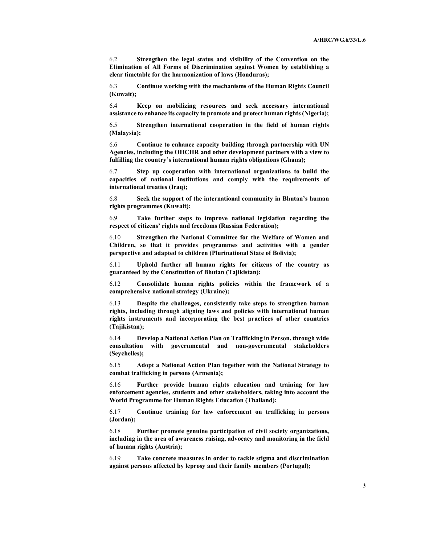6.2 Strengthen the legal status and visibility of the Convention on the Elimination of All Forms of Discrimination against Women by establishing a clear timetable for the harmonization of laws (Honduras);

6.3 Continue working with the mechanisms of the Human Rights Council (Kuwait);

6.4 Keep on mobilizing resources and seek necessary international assistance to enhance its capacity to promote and protect human rights (Nigeria);

6.5 Strengthen international cooperation in the field of human rights (Malaysia);

6.6 Continue to enhance capacity building through partnership with UN Agencies, including the OHCHR and other development partners with a view to fulfilling the country's international human rights obligations (Ghana);

6.7 Step up cooperation with international organizations to build the capacities of national institutions and comply with the requirements of international treaties (Iraq);

6.8 Seek the support of the international community in Bhutan's human rights programmes (Kuwait);

6.9 Take further steps to improve national legislation regarding the respect of citizens' rights and freedoms (Russian Federation);

6.10 Strengthen the National Committee for the Welfare of Women and Children, so that it provides programmes and activities with a gender perspective and adapted to children (Plurinational State of Bolivia);

6.11 Uphold further all human rights for citizens of the country as guaranteed by the Constitution of Bhutan (Tajikistan);

6.12 Consolidate human rights policies within the framework of a comprehensive national strategy (Ukraine);

6.13 Despite the challenges, consistently take steps to strengthen human rights, including through aligning laws and policies with international human rights instruments and incorporating the best practices of other countries (Tajikistan);

6.14 Develop a National Action Plan on Trafficking in Person, through wide consultation with governmental and non-governmental stakeholders (Seychelles);

6.15 Adopt a National Action Plan together with the National Strategy to combat trafficking in persons (Armenia);

6.16 Further provide human rights education and training for law enforcement agencies, students and other stakeholders, taking into account the World Programme for Human Rights Education (Thailand);

6.17 Continue training for law enforcement on trafficking in persons (Jordan);

6.18 Further promote genuine participation of civil society organizations, including in the area of awareness raising, advocacy and monitoring in the field of human rights (Austria);

6.19 Take concrete measures in order to tackle stigma and discrimination against persons affected by leprosy and their family members (Portugal);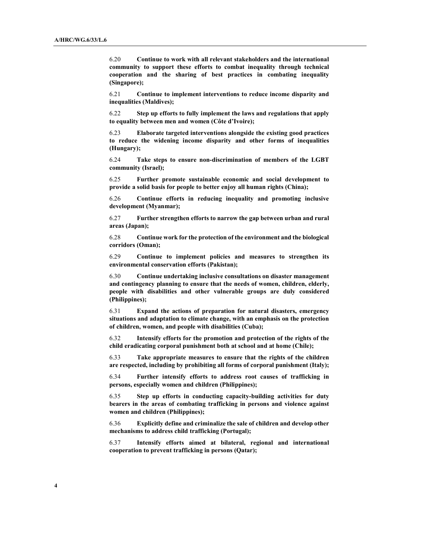6.20 Continue to work with all relevant stakeholders and the international community to support these efforts to combat inequality through technical cooperation and the sharing of best practices in combating inequality (Singapore);

6.21 Continue to implement interventions to reduce income disparity and inequalities (Maldives);

6.22 Step up efforts to fully implement the laws and regulations that apply to equality between men and women (Côte d'Ivoire);

6.23 Elaborate targeted interventions alongside the existing good practices to reduce the widening income disparity and other forms of inequalities (Hungary);

6.24 Take steps to ensure non-discrimination of members of the LGBT community (Israel);

6.25 Further promote sustainable economic and social development to provide a solid basis for people to better enjoy all human rights (China);

6.26 Continue efforts in reducing inequality and promoting inclusive development (Myanmar);

6.27 Further strengthen efforts to narrow the gap between urban and rural areas (Japan);

6.28 Continue work for the protection of the environment and the biological corridors (Oman);

6.29 Continue to implement policies and measures to strengthen its environmental conservation efforts (Pakistan);

6.30 Continue undertaking inclusive consultations on disaster management and contingency planning to ensure that the needs of women, children, elderly, people with disabilities and other vulnerable groups are duly considered (Philippines);

6.31 Expand the actions of preparation for natural disasters, emergency situations and adaptation to climate change, with an emphasis on the protection of children, women, and people with disabilities (Cuba);

6.32 Intensify efforts for the promotion and protection of the rights of the child eradicating corporal punishment both at school and at home (Chile);

6.33 Take appropriate measures to ensure that the rights of the children are respected, including by prohibiting all forms of corporal punishment (Italy);

6.34 Further intensify efforts to address root causes of trafficking in persons, especially women and children (Philippines);

6.35 Step up efforts in conducting capacity-building activities for duty bearers in the areas of combating trafficking in persons and violence against women and children (Philippines);

6.36 Explicitly define and criminalize the sale of children and develop other mechanisms to address child trafficking (Portugal);

6.37 Intensify efforts aimed at bilateral, regional and international cooperation to prevent trafficking in persons (Qatar);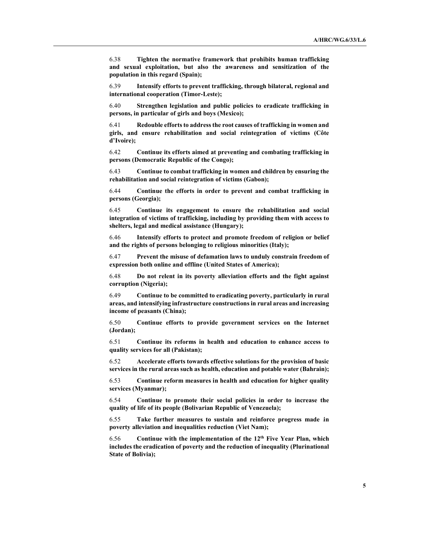6.38 Tighten the normative framework that prohibits human trafficking and sexual exploitation, but also the awareness and sensitization of the population in this regard (Spain);

6.39 Intensify efforts to prevent trafficking, through bilateral, regional and international cooperation (Timor-Leste);

6.40 Strengthen legislation and public policies to eradicate trafficking in persons, in particular of girls and boys (Mexico);

6.41 Redouble efforts to address the root causes of trafficking in women and girls, and ensure rehabilitation and social reintegration of victims (Côte d'Ivoire);

6.42 Continue its efforts aimed at preventing and combating trafficking in persons (Democratic Republic of the Congo);

6.43 Continue to combat trafficking in women and children by ensuring the rehabilitation and social reintegration of victims (Gabon);

6.44 Continue the efforts in order to prevent and combat trafficking in persons (Georgia);

6.45 Continue its engagement to ensure the rehabilitation and social integration of victims of trafficking, including by providing them with access to shelters, legal and medical assistance (Hungary);

6.46 Intensify efforts to protect and promote freedom of religion or belief and the rights of persons belonging to religious minorities (Italy);

6.47 Prevent the misuse of defamation laws to unduly constrain freedom of expression both online and offline (United States of America);

6.48 Do not relent in its poverty alleviation efforts and the fight against corruption (Nigeria);

6.49 Continue to be committed to eradicating poverty, particularly in rural areas, and intensifying infrastructure constructions in rural areas and increasing income of peasants (China);

6.50 Continue efforts to provide government services on the Internet (Jordan);

6.51 Continue its reforms in health and education to enhance access to quality services for all (Pakistan);

6.52 Accelerate efforts towards effective solutions for the provision of basic services in the rural areas such as health, education and potable water (Bahrain);

6.53 Continue reform measures in health and education for higher quality services (Myanmar);

6.54 Continue to promote their social policies in order to increase the quality of life of its people (Bolivarian Republic of Venezuela);

6.55 Take further measures to sustain and reinforce progress made in poverty alleviation and inequalities reduction (Viet Nam);

 $6.56$  Continue with the implementation of the  $12<sup>th</sup>$  Five Year Plan, which includes the eradication of poverty and the reduction of inequality (Plurinational State of Bolivia);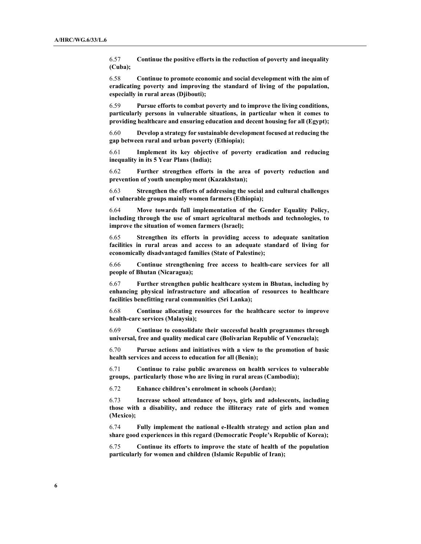6.57 Continue the positive efforts in the reduction of poverty and inequality (Cuba);

6.58 Continue to promote economic and social development with the aim of eradicating poverty and improving the standard of living of the population, especially in rural areas (Djibouti);

6.59 Pursue efforts to combat poverty and to improve the living conditions, particularly persons in vulnerable situations, in particular when it comes to providing healthcare and ensuring education and decent housing for all (Egypt);

6.60 Develop a strategy for sustainable development focused at reducing the gap between rural and urban poverty (Ethiopia);

6.61 Implement its key objective of poverty eradication and reducing inequality in its 5 Year Plans (India);

6.62 Further strengthen efforts in the area of poverty reduction and prevention of youth unemployment (Kazakhstan);

6.63 Strengthen the efforts of addressing the social and cultural challenges of vulnerable groups mainly women farmers (Ethiopia);

6.64 Move towards full implementation of the Gender Equality Policy, including through the use of smart agricultural methods and technologies, to improve the situation of women farmers (Israel);

6.65 Strengthen its efforts in providing access to adequate sanitation facilities in rural areas and access to an adequate standard of living for economically disadvantaged families (State of Palestine);

6.66 Continue strengthening free access to health-care services for all people of Bhutan (Nicaragua);

6.67 Further strengthen public healthcare system in Bhutan, including by enhancing physical infrastructure and allocation of resources to healthcare facilities benefitting rural communities (Sri Lanka);

6.68 Continue allocating resources for the healthcare sector to improve health-care services (Malaysia);

6.69 Continue to consolidate their successful health programmes through universal, free and quality medical care (Bolivarian Republic of Venezuela);

6.70 Pursue actions and initiatives with a view to the promotion of basic health services and access to education for all (Benin);

6.71 Continue to raise public awareness on health services to vulnerable groups, particularly those who are living in rural areas (Cambodia);

6.72 Enhance children's enrolment in schools (Jordan);

6.73 Increase school attendance of boys, girls and adolescents, including those with a disability, and reduce the illiteracy rate of girls and women (Mexico);

6.74 Fully implement the national e-Health strategy and action plan and share good experiences in this regard (Democratic People's Republic of Korea);

6.75 Continue its efforts to improve the state of health of the population particularly for women and children (Islamic Republic of Iran);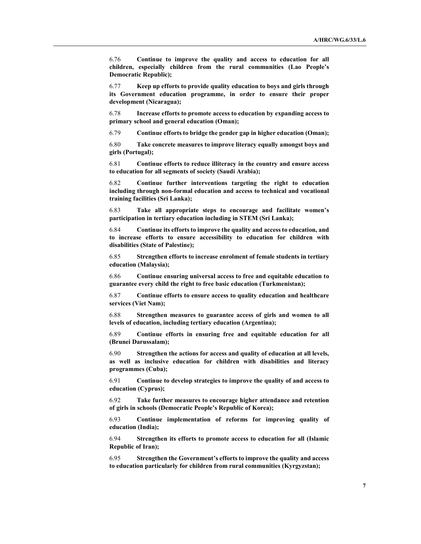6.76 Continue to improve the quality and access to education for all children, especially children from the rural communities (Lao People's Democratic Republic);

6.77 Keep up efforts to provide quality education to boys and girls through its Government education programme, in order to ensure their proper development (Nicaragua);

6.78 Increase efforts to promote access to education by expanding access to primary school and general education (Oman);

6.79 Continue efforts to bridge the gender gap in higher education (Oman);

6.80 Take concrete measures to improve literacy equally amongst boys and girls (Portugal);

6.81 Continue efforts to reduce illiteracy in the country and ensure access to education for all segments of society (Saudi Arabia);

6.82 Continue further interventions targeting the right to education including through non-formal education and access to technical and vocational training facilities (Sri Lanka);

6.83 Take all appropriate steps to encourage and facilitate women's participation in tertiary education including in STEM (Sri Lanka);

6.84 Continue its efforts to improve the quality and access to education, and to increase efforts to ensure accessibility to education for children with disabilities (State of Palestine);

6.85 Strengthen efforts to increase enrolment of female students in tertiary education (Malaysia);

6.86 Continue ensuring universal access to free and equitable education to guarantee every child the right to free basic education (Turkmenistan);

6.87 Continue efforts to ensure access to quality education and healthcare services (Viet Nam);

6.88 Strengthen measures to guarantee access of girls and women to all levels of education, including tertiary education (Argentina);

6.89 Continue efforts in ensuring free and equitable education for all (Brunei Darussalam);

6.90 Strengthen the actions for access and quality of education at all levels, as well as inclusive education for children with disabilities and literacy programmes (Cuba);

6.91 Continue to develop strategies to improve the quality of and access to education (Cyprus);

6.92 Take further measures to encourage higher attendance and retention of girls in schools (Democratic People's Republic of Korea);

6.93 Continue implementation of reforms for improving quality of education (India);

6.94 Strengthen its efforts to promote access to education for all (Islamic Republic of Iran);

6.95 Strengthen the Government's efforts to improve the quality and access to education particularly for children from rural communities (Kyrgyzstan);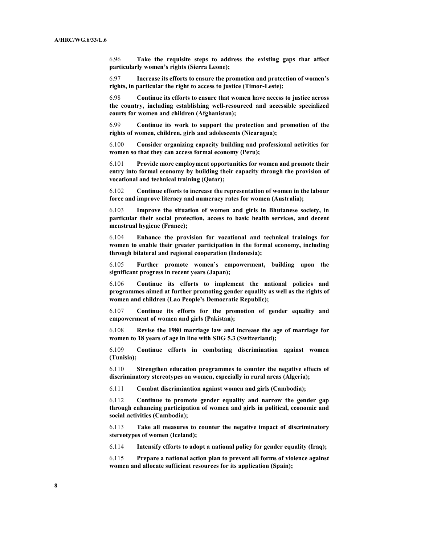6.96 Take the requisite steps to address the existing gaps that affect particularly women's rights (Sierra Leone);

6.97 Increase its efforts to ensure the promotion and protection of women's rights, in particular the right to access to justice (Timor-Leste);

6.98 Continue its efforts to ensure that women have access to justice across the country, including establishing well-resourced and accessible specialized courts for women and children (Afghanistan);

6.99 Continue its work to support the protection and promotion of the rights of women, children, girls and adolescents (Nicaragua);

6.100 Consider organizing capacity building and professional activities for women so that they can access formal economy (Peru);

6.101 Provide more employment opportunities for women and promote their entry into formal economy by building their capacity through the provision of vocational and technical training (Qatar);

6.102 Continue efforts to increase the representation of women in the labour force and improve literacy and numeracy rates for women (Australia);

6.103 Improve the situation of women and girls in Bhutanese society, in particular their social protection, access to basic health services, and decent menstrual hygiene (France);

6.104 Enhance the provision for vocational and technical trainings for women to enable their greater participation in the formal economy, including through bilateral and regional cooperation (Indonesia);

6.105 Further promote women's empowerment, building upon the significant progress in recent years (Japan);

6.106 Continue its efforts to implement the national policies and programmes aimed at further promoting gender equality as well as the rights of women and children (Lao People's Democratic Republic);

6.107 Continue its efforts for the promotion of gender equality and empowerment of women and girls (Pakistan);

6.108 Revise the 1980 marriage law and increase the age of marriage for women to 18 years of age in line with SDG 5.3 (Switzerland);

6.109 Continue efforts in combating discrimination against women (Tunisia);

6.110 Strengthen education programmes to counter the negative effects of discriminatory stereotypes on women, especially in rural areas (Algeria);

6.111 Combat discrimination against women and girls (Cambodia);

6.112 Continue to promote gender equality and narrow the gender gap through enhancing participation of women and girls in political, economic and social activities (Cambodia);

6.113 Take all measures to counter the negative impact of discriminatory stereotypes of women (Iceland);

6.114 Intensify efforts to adopt a national policy for gender equality (Iraq);

6.115 Prepare a national action plan to prevent all forms of violence against women and allocate sufficient resources for its application (Spain);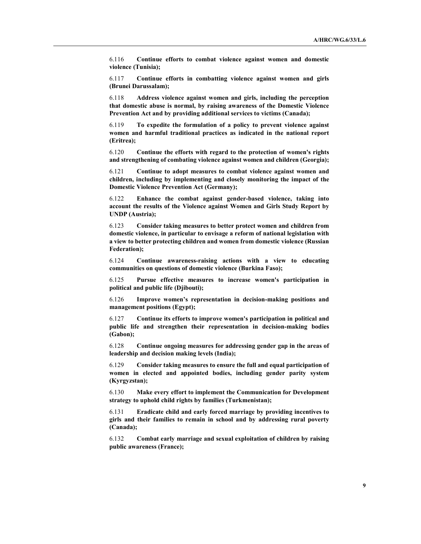6.116 Continue efforts to combat violence against women and domestic violence (Tunisia);

6.117 Continue efforts in combatting violence against women and girls (Brunei Darussalam);

6.118 Address violence against women and girls, including the perception that domestic abuse is normal, by raising awareness of the Domestic Violence Prevention Act and by providing additional services to victims (Canada);

6.119 To expedite the formulation of a policy to prevent violence against women and harmful traditional practices as indicated in the national report (Eritrea);

6.120 Continue the efforts with regard to the protection of women's rights and strengthening of combating violence against women and children (Georgia);

6.121 Continue to adopt measures to combat violence against women and children, including by implementing and closely monitoring the impact of the Domestic Violence Prevention Act (Germany);

6.122 Enhance the combat against gender-based violence, taking into account the results of the Violence against Women and Girls Study Report by UNDP (Austria);

6.123 Consider taking measures to better protect women and children from domestic violence, in particular to envisage a reform of national legislation with a view to better protecting children and women from domestic violence (Russian Federation);

6.124 Continue awareness-raising actions with a view to educating communities on questions of domestic violence (Burkina Faso);

6.125 Pursue effective measures to increase women's participation in political and public life (Djibouti);

6.126 Improve women's representation in decision-making positions and management positions (Egypt);

6.127 Continue its efforts to improve women's participation in political and public life and strengthen their representation in decision-making bodies (Gabon);

6.128 Continue ongoing measures for addressing gender gap in the areas of leadership and decision making levels (India);

6.129 Consider taking measures to ensure the full and equal participation of women in elected and appointed bodies, including gender parity system (Kyrgyzstan);

6.130 Make every effort to implement the Communication for Development strategy to uphold child rights by families (Turkmenistan);

6.131 Eradicate child and early forced marriage by providing incentives to girls and their families to remain in school and by addressing rural poverty (Canada);

6.132 Combat early marriage and sexual exploitation of children by raising public awareness (France);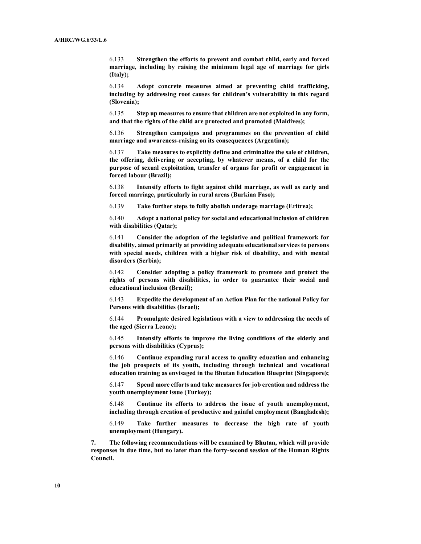6.133 Strengthen the efforts to prevent and combat child, early and forced marriage, including by raising the minimum legal age of marriage for girls (Italy);

6.134 Adopt concrete measures aimed at preventing child trafficking, including by addressing root causes for children's vulnerability in this regard (Slovenia);

6.135 Step up measures to ensure that children are not exploited in any form, and that the rights of the child are protected and promoted (Maldives);

6.136 Strengthen campaigns and programmes on the prevention of child marriage and awareness-raising on its consequences (Argentina);

6.137 Take measures to explicitly define and criminalize the sale of children, the offering, delivering or accepting, by whatever means, of a child for the purpose of sexual exploitation, transfer of organs for profit or engagement in forced labour (Brazil);

6.138 Intensify efforts to fight against child marriage, as well as early and forced marriage, particularly in rural areas (Burkina Faso);

6.139 Take further steps to fully abolish underage marriage (Eritrea);

6.140 Adopt a national policy for social and educational inclusion of children with disabilities (Qatar);

6.141 Consider the adoption of the legislative and political framework for disability, aimed primarily at providing adequate educational services to persons with special needs, children with a higher risk of disability, and with mental disorders (Serbia);

6.142 Consider adopting a policy framework to promote and protect the rights of persons with disabilities, in order to guarantee their social and educational inclusion (Brazil);

6.143 Expedite the development of an Action Plan for the national Policy for Persons with disabilities (Israel);

6.144 Promulgate desired legislations with a view to addressing the needs of the aged (Sierra Leone);

6.145 Intensify efforts to improve the living conditions of the elderly and persons with disabilities (Cyprus);

6.146 Continue expanding rural access to quality education and enhancing the job prospects of its youth, including through technical and vocational education training as envisaged in the Bhutan Education Blueprint (Singapore);

6.147 Spend more efforts and take measures for job creation and address the youth unemployment issue (Turkey);

6.148 Continue its efforts to address the issue of youth unemployment, including through creation of productive and gainful employment (Bangladesh);

6.149 Take further measures to decrease the high rate of youth unemployment (Hungary).

7. The following recommendations will be examined by Bhutan, which will provide responses in due time, but no later than the forty-second session of the Human Rights Council.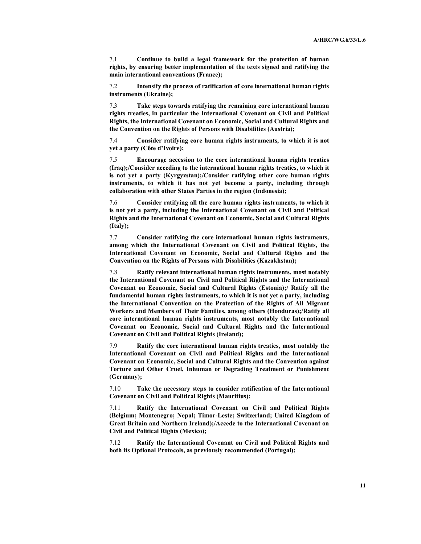7.1 Continue to build a legal framework for the protection of human rights, by ensuring better implementation of the texts signed and ratifying the main international conventions (France);

7.2 Intensify the process of ratification of core international human rights instruments (Ukraine);

7.3 Take steps towards ratifying the remaining core international human rights treaties, in particular the International Covenant on Civil and Political Rights, the International Covenant on Economic, Social and Cultural Rights and the Convention on the Rights of Persons with Disabilities (Austria);

7.4 Consider ratifying core human rights instruments, to which it is not yet a party (Côte d'Ivoire);

7.5 Encourage accession to the core international human rights treaties (Iraq);/Consider acceding to the international human rights treaties, to which it is not yet a party (Kyrgyzstan);/Consider ratifying other core human rights instruments, to which it has not yet become a party, including through collaboration with other States Parties in the region (Indonesia);

7.6 Consider ratifying all the core human rights instruments, to which it is not yet a party, including the International Covenant on Civil and Political Rights and the International Covenant on Economic, Social and Cultural Rights (Italy);

7.7 Consider ratifying the core international human rights instruments, among which the International Covenant on Civil and Political Rights, the International Covenant on Economic, Social and Cultural Rights and the Convention on the Rights of Persons with Disabilities (Kazakhstan);

7.8 Ratify relevant international human rights instruments, most notably the International Covenant on Civil and Political Rights and the International Covenant on Economic, Social and Cultural Rights (Estonia);/ Ratify all the fundamental human rights instruments, to which it is not yet a party, including the International Convention on the Protection of the Rights of All Migrant Workers and Members of Their Families, among others (Honduras);/Ratify all core international human rights instruments, most notably the International Covenant on Economic, Social and Cultural Rights and the International Covenant on Civil and Political Rights (Ireland);

7.9 Ratify the core international human rights treaties, most notably the International Covenant on Civil and Political Rights and the International Covenant on Economic, Social and Cultural Rights and the Convention against Torture and Other Cruel, Inhuman or Degrading Treatment or Punishment (Germany);

7.10 Take the necessary steps to consider ratification of the International Covenant on Civil and Political Rights (Mauritius);

7.11 Ratify the International Covenant on Civil and Political Rights (Belgium; Montenegro; Nepal; Timor-Leste; Switzerland; United Kingdom of Great Britain and Northern Ireland);/Accede to the International Covenant on Civil and Political Rights (Mexico);

7.12 Ratify the International Covenant on Civil and Political Rights and both its Optional Protocols, as previously recommended (Portugal);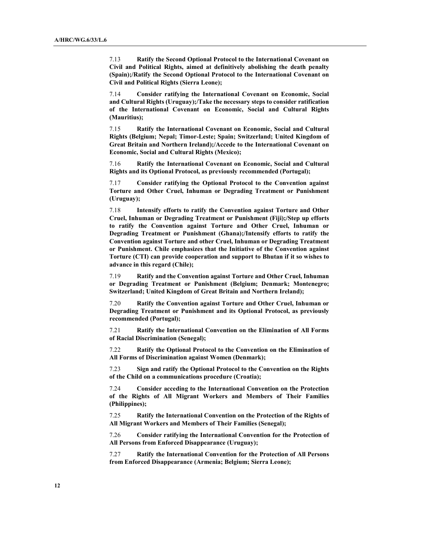7.13 Ratify the Second Optional Protocol to the International Covenant on Civil and Political Rights, aimed at definitively abolishing the death penalty (Spain);/Ratify the Second Optional Protocol to the International Covenant on Civil and Political Rights (Sierra Leone);

7.14 Consider ratifying the International Covenant on Economic, Social and Cultural Rights (Uruguay);/Take the necessary steps to consider ratification of the International Covenant on Economic, Social and Cultural Rights (Mauritius);

7.15 Ratify the International Covenant on Economic, Social and Cultural Rights (Belgium; Nepal; Timor-Leste; Spain; Switzerland; United Kingdom of Great Britain and Northern Ireland);/Accede to the International Covenant on Economic, Social and Cultural Rights (Mexico);

7.16 Ratify the International Covenant on Economic, Social and Cultural Rights and its Optional Protocol, as previously recommended (Portugal);

7.17 Consider ratifying the Optional Protocol to the Convention against Torture and Other Cruel, Inhuman or Degrading Treatment or Punishment (Uruguay);

7.18 Intensify efforts to ratify the Convention against Torture and Other Cruel, Inhuman or Degrading Treatment or Punishment (Fiji);/Step up efforts to ratify the Convention against Torture and Other Cruel, Inhuman or Degrading Treatment or Punishment (Ghana);/Intensify efforts to ratify the Convention against Torture and other Cruel, Inhuman or Degrading Treatment or Punishment. Chile emphasizes that the Initiative of the Convention against Torture (CTI) can provide cooperation and support to Bhutan if it so wishes to advance in this regard (Chile);

7.19 Ratify and the Convention against Torture and Other Cruel, Inhuman or Degrading Treatment or Punishment (Belgium; Denmark; Montenegro; Switzerland; United Kingdom of Great Britain and Northern Ireland);

7.20 Ratify the Convention against Torture and Other Cruel, Inhuman or Degrading Treatment or Punishment and its Optional Protocol, as previously recommended (Portugal);

7.21 Ratify the International Convention on the Elimination of All Forms of Racial Discrimination (Senegal);

7.22 Ratify the Optional Protocol to the Convention on the Elimination of All Forms of Discrimination against Women (Denmark);

7.23 Sign and ratify the Optional Protocol to the Convention on the Rights of the Child on a communications procedure (Croatia);

7.24 Consider acceding to the International Convention on the Protection of the Rights of All Migrant Workers and Members of Their Families (Philippines);

7.25 Ratify the International Convention on the Protection of the Rights of All Migrant Workers and Members of Their Families (Senegal);

7.26 Consider ratifying the International Convention for the Protection of All Persons from Enforced Disappearance (Uruguay);

7.27 Ratify the International Convention for the Protection of All Persons from Enforced Disappearance (Armenia; Belgium; Sierra Leone);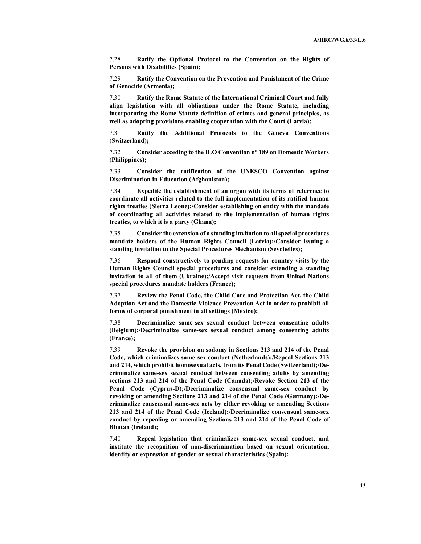7.28 Ratify the Optional Protocol to the Convention on the Rights of Persons with Disabilities (Spain);

7.29 Ratify the Convention on the Prevention and Punishment of the Crime of Genocide (Armenia);

7.30 Ratify the Rome Statute of the International Criminal Court and fully align legislation with all obligations under the Rome Statute, including incorporating the Rome Statute definition of crimes and general principles, as well as adopting provisions enabling cooperation with the Court (Latvia);

7.31 Ratify the Additional Protocols to the Geneva Conventions (Switzerland);

7.32 Consider acceding to the ILO Convention n° 189 on Domestic Workers (Philippines);

7.33 Consider the ratification of the UNESCO Convention against Discrimination in Education (Afghanistan);

7.34 Expedite the establishment of an organ with its terms of reference to coordinate all activities related to the full implementation of its ratified human rights treaties (Sierra Leone);/Consider establishing on entity with the mandate of coordinating all activities related to the implementation of human rights treaties, to which it is a party (Ghana);

7.35 Consider the extension of a standing invitation to all special procedures mandate holders of the Human Rights Council (Latvia);/Consider issuing a standing invitation to the Special Procedures Mechanism (Seychelles);

7.36 Respond constructively to pending requests for country visits by the Human Rights Council special procedures and consider extending a standing invitation to all of them (Ukraine);/Accept visit requests from United Nations special procedures mandate holders (France);

7.37 Review the Penal Code, the Child Care and Protection Act, the Child Adoption Act and the Domestic Violence Prevention Act in order to prohibit all forms of corporal punishment in all settings (Mexico);

7.38 Decriminalize same-sex sexual conduct between consenting adults (Belgium);/Decriminalize same-sex sexual conduct among consenting adults (France);

7.39 Revoke the provision on sodomy in Sections 213 and 214 of the Penal Code, which criminalizes same-sex conduct (Netherlands);/Repeal Sections 213 and 214, which prohibit homosexual acts, from its Penal Code (Switzerland);/Decriminalize same-sex sexual conduct between consenting adults by amending sections 213 and 214 of the Penal Code (Canada);/Revoke Section 213 of the Penal Code (Cyprus-D);/Decriminalize consensual same-sex conduct by revoking or amending Sections 213 and 214 of the Penal Code (Germany);/Decriminalize consensual same-sex acts by either revoking or amending Sections 213 and 214 of the Penal Code (Iceland);/Decriminalize consensual same-sex conduct by repealing or amending Sections 213 and 214 of the Penal Code of Bhutan (Ireland);

7.40 Repeal legislation that criminalizes same-sex sexual conduct, and institute the recognition of non-discrimination based on sexual orientation, identity or expression of gender or sexual characteristics (Spain);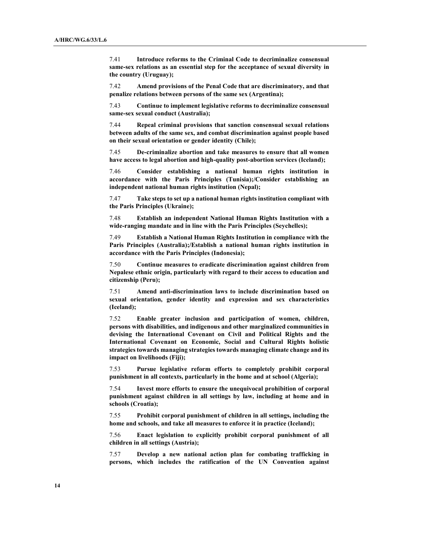7.41 Introduce reforms to the Criminal Code to decriminalize consensual same-sex relations as an essential step for the acceptance of sexual diversity in the country (Uruguay);

7.42 Amend provisions of the Penal Code that are discriminatory, and that penalize relations between persons of the same sex (Argentina);

7.43 Continue to implement legislative reforms to decriminalize consensual same-sex sexual conduct (Australia);

7.44 Repeal criminal provisions that sanction consensual sexual relations between adults of the same sex, and combat discrimination against people based on their sexual orientation or gender identity (Chile);

7.45 De-criminalize abortion and take measures to ensure that all women have access to legal abortion and high-quality post-abortion services (Iceland);

7.46 Consider establishing a national human rights institution in accordance with the Paris Principles (Tunisia);/Consider establishing an independent national human rights institution (Nepal);

7.47 Take steps to set up a national human rights institution compliant with the Paris Principles (Ukraine);

7.48 Establish an independent National Human Rights Institution with a wide-ranging mandate and in line with the Paris Principles (Seychelles);

7.49 Establish a National Human Rights Institution in compliance with the Paris Principles (Australia);/Establish a national human rights institution in accordance with the Paris Principles (Indonesia);

7.50 Continue measures to eradicate discrimination against children from Nepalese ethnic origin, particularly with regard to their access to education and citizenship (Peru);

7.51 Amend anti-discrimination laws to include discrimination based on sexual orientation, gender identity and expression and sex characteristics (Iceland);

7.52 Enable greater inclusion and participation of women, children, persons with disabilities, and indigenous and other marginalized communities in devising the International Covenant on Civil and Political Rights and the International Covenant on Economic, Social and Cultural Rights holistic strategies towards managing strategies towards managing climate change and its impact on livelihoods (Fiji);

7.53 Pursue legislative reform efforts to completely prohibit corporal punishment in all contexts, particularly in the home and at school (Algeria);

7.54 Invest more efforts to ensure the unequivocal prohibition of corporal punishment against children in all settings by law, including at home and in schools (Croatia);

7.55 Prohibit corporal punishment of children in all settings, including the home and schools, and take all measures to enforce it in practice (Iceland);

7.56 Enact legislation to explicitly prohibit corporal punishment of all children in all settings (Austria);

7.57 Develop a new national action plan for combating trafficking in persons, which includes the ratification of the UN Convention against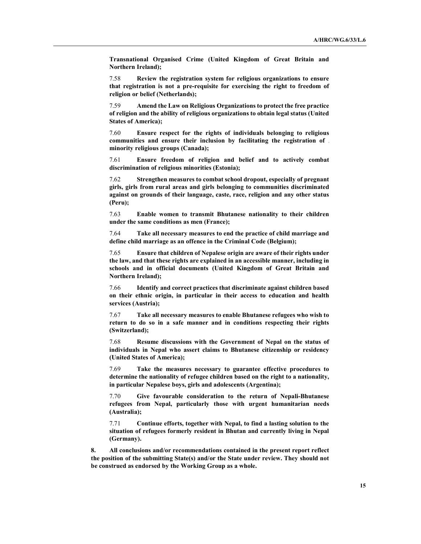Transnational Organised Crime (United Kingdom of Great Britain and Northern Ireland);

7.58 Review the registration system for religious organizations to ensure that registration is not a pre-requisite for exercising the right to freedom of religion or belief (Netherlands);

7.59 Amend the Law on Religious Organizations to protect the free practice of religion and the ability of religious organizations to obtain legal status (United States of America);

7.60 Ensure respect for the rights of individuals belonging to religious communities and ensure their inclusion by facilitating the registration of minority religious groups (Canada);

7.61 Ensure freedom of religion and belief and to actively combat discrimination of religious minorities (Estonia);

7.62 Strengthen measures to combat school dropout, especially of pregnant girls, girls from rural areas and girls belonging to communities discriminated against on grounds of their language, caste, race, religion and any other status (Peru);

7.63 Enable women to transmit Bhutanese nationality to their children under the same conditions as men (France);

7.64 Take all necessary measures to end the practice of child marriage and define child marriage as an offence in the Criminal Code (Belgium);

7.65 Ensure that children of Nepalese origin are aware of their rights under the law, and that these rights are explained in an accessible manner, including in schools and in official documents (United Kingdom of Great Britain and Northern Ireland);

7.66 Identify and correct practices that discriminate against children based on their ethnic origin, in particular in their access to education and health services (Austria);

7.67 Take all necessary measures to enable Bhutanese refugees who wish to return to do so in a safe manner and in conditions respecting their rights (Switzerland);

7.68 Resume discussions with the Government of Nepal on the status of individuals in Nepal who assert claims to Bhutanese citizenship or residency (United States of America);

7.69 Take the measures necessary to guarantee effective procedures to determine the nationality of refugee children based on the right to a nationality, in particular Nepalese boys, girls and adolescents (Argentina);

7.70 Give favourable consideration to the return of Nepali-Bhutanese refugees from Nepal, particularly those with urgent humanitarian needs (Australia);

7.71 Continue efforts, together with Nepal, to find a lasting solution to the situation of refugees formerly resident in Bhutan and currently living in Nepal (Germany).

8. All conclusions and/or recommendations contained in the present report reflect the position of the submitting State(s) and/or the State under review. They should not be construed as endorsed by the Working Group as a whole.